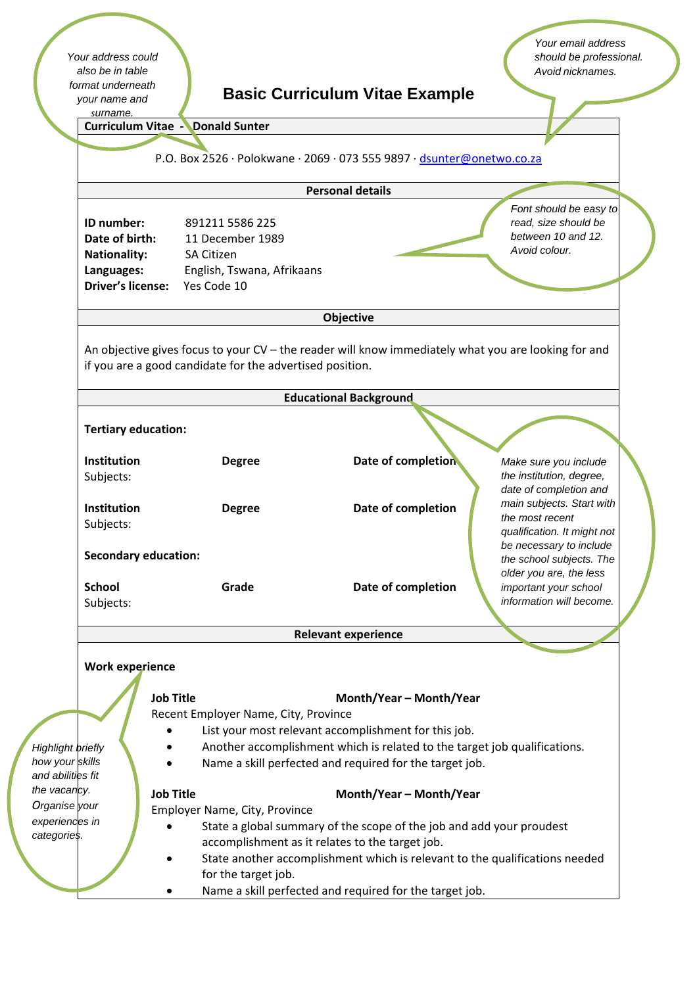*Your address could also be in table format underneath your name and surname.*

# **Basic Curriculum Vitae Example**

*Your email address should be professional. Avoid nicknames.*

*Font should be easy to read, size should be between 10 and 12. Avoid colour.*

| <b>Curriculum Vitae - Donald Sunter</b> |  |  |
|-----------------------------------------|--|--|
|                                         |  |  |

P.O. Box 2526 ∙ Polokwane ∙ 2069 ∙ 073 555 9897 ∙ dsunter@onetwo.co.za

| <b>Personal details</b> |  |
|-------------------------|--|
|                         |  |

| ID number:               | 891211 5586 225            |
|--------------------------|----------------------------|
| Date of birth:           | 11 December 1989           |
| <b>Nationality:</b>      | <b>SA Citizen</b>          |
| Languages:               | English, Tswana, Afrikaans |
| <b>Driver's license:</b> | Yes Code 10                |

#### **Objective**

An objective gives focus to your CV – the reader will know immediately what you are looking for and if you are a good candidate for the advertised position.

|                                              |                                                                                                    |                                                                                                                         | <b>Educational Background</b>                           |                                                                                                               |  |  |  |
|----------------------------------------------|----------------------------------------------------------------------------------------------------|-------------------------------------------------------------------------------------------------------------------------|---------------------------------------------------------|---------------------------------------------------------------------------------------------------------------|--|--|--|
| <b>Tertiary education:</b>                   |                                                                                                    |                                                                                                                         |                                                         |                                                                                                               |  |  |  |
| <b>Institution</b>                           |                                                                                                    | <b>Degree</b>                                                                                                           | Date of completion                                      | Make sure you include                                                                                         |  |  |  |
| Subjects:<br><b>Institution</b><br>Subjects: |                                                                                                    | <b>Degree</b>                                                                                                           | Date of completion                                      | the institution, degree,<br>date of completion and<br>main subjects. Start with<br>the most recent            |  |  |  |
|                                              | <b>Secondary education:</b>                                                                        |                                                                                                                         |                                                         | qualification. It might not<br>be necessary to include<br>the school subjects. The<br>older you are, the less |  |  |  |
| <b>School</b>                                |                                                                                                    | Grade                                                                                                                   | Date of completion                                      | important your school                                                                                         |  |  |  |
| Subjects:                                    |                                                                                                    |                                                                                                                         |                                                         | information will become.                                                                                      |  |  |  |
|                                              |                                                                                                    |                                                                                                                         | <b>Relevant experience</b>                              |                                                                                                               |  |  |  |
| <b>Work experience</b>                       |                                                                                                    |                                                                                                                         |                                                         |                                                                                                               |  |  |  |
|                                              | <b>Job Title</b>                                                                                   | Month/Year - Month/Year                                                                                                 |                                                         |                                                                                                               |  |  |  |
|                                              |                                                                                                    | Recent Employer Name, City, Province<br>List your most relevant accomplishment for this job.                            |                                                         |                                                                                                               |  |  |  |
| <b>Highlight briefly</b>                     |                                                                                                    | Another accomplishment which is related to the target job qualifications.                                               |                                                         |                                                                                                               |  |  |  |
| how your skills<br>and abilities fit         |                                                                                                    | Name a skill perfected and required for the target job.                                                                 |                                                         |                                                                                                               |  |  |  |
| the vacancy.                                 | <b>Job Title</b>                                                                                   | Month/Year - Month/Year                                                                                                 |                                                         |                                                                                                               |  |  |  |
| Organise your                                |                                                                                                    | Employer Name, City, Province                                                                                           |                                                         |                                                                                                               |  |  |  |
| experiences in<br>categories.                |                                                                                                    | State a global summary of the scope of the job and add your proudest<br>accomplishment as it relates to the target job. |                                                         |                                                                                                               |  |  |  |
|                                              | State another accomplishment which is relevant to the qualifications needed<br>for the target job. |                                                                                                                         |                                                         |                                                                                                               |  |  |  |
|                                              |                                                                                                    |                                                                                                                         | Name a skill perfected and required for the target job. |                                                                                                               |  |  |  |